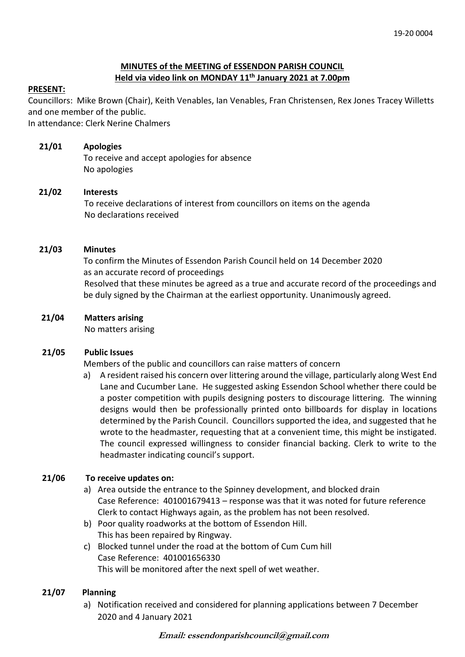## **MINUTES of the MEETING of ESSENDON PARISH COUNCIL Held via video link on MONDAY 11 th January 2021 at 7.00pm**

#### **PRESENT:**

Councillors: Mike Brown (Chair), Keith Venables, Ian Venables, Fran Christensen, Rex Jones Tracey Willetts and one member of the public.

In attendance: Clerk Nerine Chalmers

#### **21/01 Apologies**

To receive and accept apologies for absence No apologies

#### **21/02 Interests**

To receive declarations of interest from councillors on items on the agenda No declarations received

#### **21/03 Minutes**

 To confirm the Minutes of Essendon Parish Council held on 14 December 2020 as an accurate record of proceedings Resolved that these minutes be agreed as a true and accurate record of the proceedings and be duly signed by the Chairman at the earliest opportunity. Unanimously agreed.

#### **21/04 Matters arising**

No matters arising

#### **21/05 Public Issues**

Members of the public and councillors can raise matters of concern

 a) A resident raised his concern over littering around the village, particularly along West End Lane and Cucumber Lane. He suggested asking Essendon School whether there could be a poster competition with pupils designing posters to discourage littering. The winning designs would then be professionally printed onto billboards for display in locations determined by the Parish Council. Councillors supported the idea, and suggested that he wrote to the headmaster, requesting that at a convenient time, this might be instigated. The council expressed willingness to consider financial backing. Clerk to write to the headmaster indicating council's support.

#### **21/06 To receive updates on:**

- a) Area outside the entrance to the Spinney development, and blocked drain Case Reference: 401001679413 – response was that it was noted for future reference Clerk to contact Highways again, as the problem has not been resolved.
- b) Poor quality roadworks at the bottom of Essendon Hill. This has been repaired by Ringway.
- c) Blocked tunnel under the road at the bottom of Cum Cum hill Case Reference: 401001656330 This will be monitored after the next spell of wet weather.

#### **21/07 Planning**

a) Notification received and considered for planning applications between 7 December 2020 and 4 January 2021

**Email: essendonparishcouncil@gmail.com**